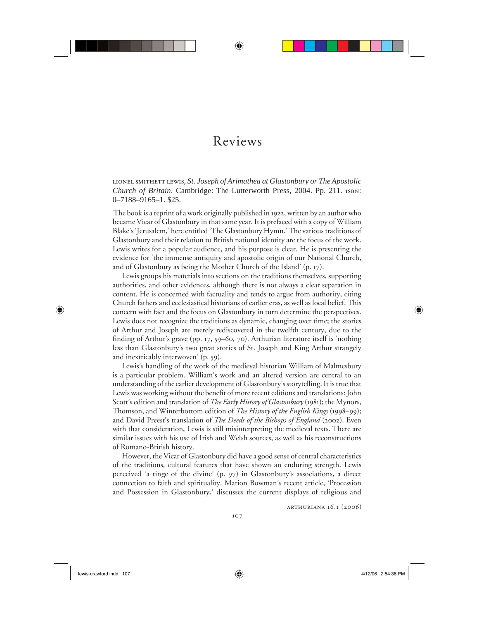## Reviews

⊕

lionel smithett lewis, *St. Joseph of Arimathea at Glastonbury or The Apostolic Church of Britain*. Cambridge: The Lutterworth Press, 2004. Pp. 211. isbn: 0–7188–9165–1. \$25.

The book is a reprint of a work originally published in 1922, written by an author who became Vicar of Glastonbury in that same year. It is prefaced with a copy of William Blake's 'Jerusalem,' here entitled 'The Glastonbury Hymn.' The various traditions of Glastonbury and their relation to British national identity are the focus of the work. Lewis writes for a popular audience, and his purpose is clear. He is presenting the evidence for 'the immense antiquity and apostolic origin of our National Church, and of Glastonbury as being the Mother Church of the Island' (p. 17).

Lewis groups his materials into sections on the traditions themselves, supporting authorities, and other evidences, although there is not always a clear separation in content. He is concerned with factuality and tends to argue from authority, citing Church fathers and ecclesiastical historians of earlier eras, as well as local belief. This concern with fact and the focus on Glastonbury in turn determine the perspectives. Lewis does not recognize the traditions as dynamic, changing over time; the stories of Arthur and Joseph are merely rediscovered in the twelfth century, due to the finding of Arthur's grave (pp. 17, 59–60, 70). Arthurian literature itself is 'nothing less than Glastonbury's two great stories of St. Joseph and King Arthur strangely and inextricably interwoven' (p. 59).

Lewis's handling of the work of the medieval historian William of Malmesbury is a particular problem. William's work and an altered version are central to an understanding of the earlier development of Glastonbury's storytelling. It is true that Lewis was working without the benefit of more recent editions and translations: John Scott's edition and translation of *The Early History of Glastonbury* (1981); the Mynors, Thomson, and Winterbottom edition of *The History of the English Kings* (1998–99); and David Preest's translation of *The Deeds of the Bishops of England* (2002). Even with that consideration, Lewis is still misinterpreting the medieval texts. There are similar issues with his use of Irish and Welsh sources, as well as his reconstructions of Romano-British history.

However, the Vicar of Glastonbury did have a good sense of central characteristics of the traditions, cultural features that have shown an enduring strength. Lewis perceived 'a tinge of the divine' (p. 97) in Glastonbury's associations, a direct connection to faith and spirituality. Marion Bowman's recent article, 'Procession and Possession in Glastonbury,' discusses the current displays of religious and

arthuriana 16.1 (2006)

 $\bigoplus$ 

⊕